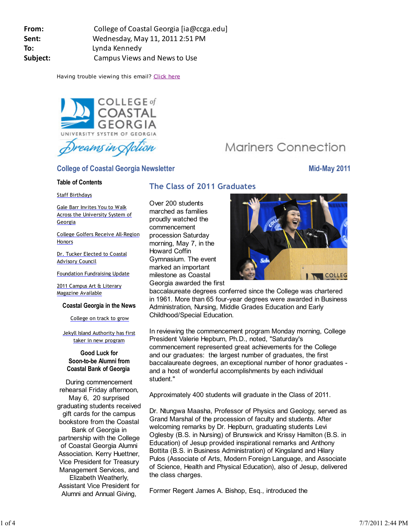**From:** College of Coastal Georgia [ia@ccga.edu] **Sent:** Wednesday, May 11, 2011 2:51 PM **To:** Lynda Kennedy **Subject:** Campus Views and News to Use

Having trouble viewing this email? Click here



# **College of Coastal Georgia Newsletter Mid-May 2011**

### **Table of Contents**

Staff Birthdays

Gale Barr Invites You to Walk Across the University System of Georgia

College Golfers Receive All-Region **Honors** 

Dr. Tucker Elected to Coastal Advisory Council

Foundation Fundraising Update

2011 Campus Art & Literary Magazine Available

### **Coastal Georgia in the News**

### College on track to grow

Jekyll Island Authority has first taker in new program

### **Good Luck for Soon-to-be Alumni from Coastal Bank of Georgia**

During commencement rehearsal Friday afternoon, May 6, 20 surprised graduating students received gift cards for the campus bookstore from the Coastal Bank of Georgia in partnership with the College of Coastal Georgia Alumni Association. Kerry Huettner, Vice President for Treasury Management Services, and Elizabeth Weatherly, Assistant Vice President for Alumni and Annual Giving,

# **The Class of 2011 Graduates**

Over 200 students marched as families proudly watched the commencement procession Saturday morning, May 7, in the Howard Coffin Gymnasium. The event marked an important milestone as Coastal Georgia awarded the first



**Mariners Connection** 

baccalaureate degrees conferred since the College was chartered in 1961. More than 65 four-year degrees were awarded in Business Administration, Nursing, Middle Grades Education and Early Childhood/Special Education.

In reviewing the commencement program Monday morning, College President Valerie Hepburn, Ph.D., noted, "Saturday's commencement represented great achievements for the College and our graduates: the largest number of graduates, the first baccalaureate degrees, an exceptional number of honor graduates and a host of wonderful accomplishments by each individual student."

Approximately 400 students will graduate in the Class of 2011.

Dr. Ntungwa Maasha, Professor of Physics and Geology, served as Grand Marshal of the procession of faculty and students. After welcoming remarks by Dr. Hepburn, graduating students Levi Oglesby (B.S. in Nursing) of Brunswick and Krissy Hamilton (B.S. in Education) of Jesup provided inspirational remarks and Anthony Bottita (B.S. in Business Administration) of Kingsland and Hilary Pulos (Associate of Arts, Modern Foreign Language, and Associate of Science, Health and Physical Education), also of Jesup, delivered the class charges.

Former Regent James A. Bishop, Esq., introduced the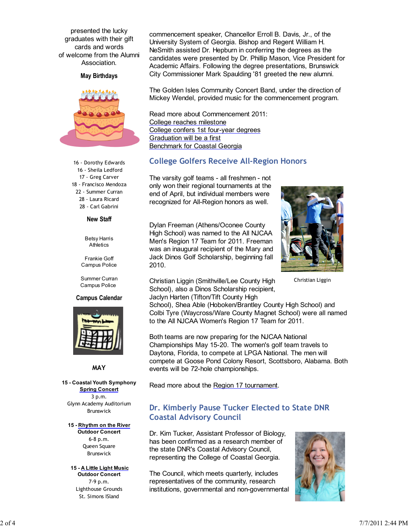presented the lucky graduates with their gift cards and words of welcome from the Alumni Association.

**May Birthdays**



16 - Dorothy Edwards 16 - Sheila Ledford 17 - Greg Carver 18 - Francisco Mendoza 22 - Summer Curran 28 - Laura Ricard 28 - Carl Gabrini

**New Staff**

Betsy Harris **Athletics** 

Frankie Goff Campus Police

Summer Curran Campus Police

#### **Campus Calendar**



**MAY**

**15 - Coastal Youth Symphony Spring Concert** 3 p.m. Glynn Academy Auditorium Brunswick

#### **15 - Rhythm on the River**

**Outdoor Concert** 6-8 p.m. Queen Square Brunswick

#### **15 - A Little Light Music Outdoor Concert**

7-9 p.m. Lighthouse Grounds St. Simons ISland

commencement speaker, Chancellor Erroll B. Davis, Jr., of the University System of Georgia. Bishop and Regent William H. NeSmith assisted Dr. Hepburn in conferring the degrees as the candidates were presented by Dr. Phillip Mason, Vice President for Academic Affairs. Following the degree presentations, Brunswick City Commissioner Mark Spaulding '81 greeted the new alumni.

The Golden Isles Community Concert Band, under the direction of Mickey Wendel, provided music for the commencement program.

Read more about Commencement 2011: College reaches milestone College confers 1st four-year degrees Graduation will be a first Benchmark for Coastal Georgia

### **College Golfers Receive All-Region Honors**

The varsity golf teams - all freshmen - not only won their regional tournaments at the end of April, but individual members were recognized for All-Region honors as well.

Dylan Freeman (Athens/Oconee County High School) was named to the All NJCAA Men's Region 17 Team for 2011. Freeman was an inaugural recipient of the Mary and Jack Dinos Golf Scholarship, beginning fall 2010.



Christian Liggin

Christian Liggin (Smithville/Lee County High School), also a Dinos Scholarship recipient, Jaclyn Harten (Tifton/Tift County High

School), Shea Able (Hoboken/Brantley County High School) and Colbi Tyre (Waycross/Ware County Magnet School) were all named to the All NJCAA Women's Region 17 Team for 2011.

Both teams are now preparing for the NJCAA National Championships May 15-20. The women's golf team travels to Daytona, Florida, to compete at LPGA National. The men will compete at Goose Pond Colony Resort, Scottsboro, Alabama. Both events will be 72-hole championships.

Read more about the Region 17 tournament.

## **Dr. Kimberly Pause Tucker Elected to State DNR Coastal Advisory Council**

Dr. Kim Tucker, Assistant Professor of Biology, has been confirmed as a research member of the state DNR's Coastal Advisory Council, representing the College of Coastal Georgia.

The Council, which meets quarterly, includes representatives of the community, research institutions, governmental and non-governmental

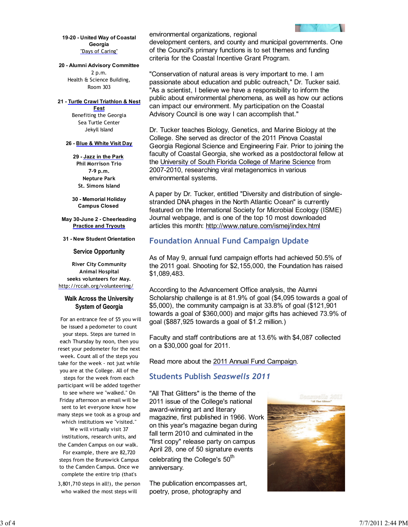

**19-20 - United Way of Coastal Georgia** "Days of Caring"

**20 - Alumni Advisory Committee** 2 p.m.

Health & Science Building, Room 303

**21 - Turtle Crawl Triathlon & Nest Fest** Benefiting the Georgia Sea Turtle Center Jekyll Island

#### **26 - Blue & White Visit Day**

**29 - Jazz in the Park Phil Morrison Trio 7-9 p.m. Nepture Park St. Simons Island**

**30 - Memorial Holiday Campus Closed** 

**May 30-June 2 - Cheerleading Practice and Tryouts**

**31 - New Student Orientation**

#### **Service Opportunity**

**River City Community Animal Hospital seeks volunteers for May.** http://rccah.org/volunteering/

### **Walk Across the University System of Georgia**

 For an entrance fee of \$5 you will be issued a pedometer to count your steps. Steps are turned in each Thursday by noon, then you reset your pedometer for the next week. Count all of the steps you take for the week - not just while you are at the College. All of the steps for the week from each participant will be added together to see where we "walked." On Friday afternoon an email will be sent to let everyone know how many steps we took as a group and

which institutions we "visited." We will virtually visit 37 institutions, research units, and the Camden Campus on our walk. For example, there are 82,720 steps from the Brunswick Campus to the Camden Campus. Once we complete the entire trip (that's

3,801,710 steps in all!), the person who walked the most steps will

environmental organizations, regional

development centers, and county and municipal governments. One of the Council's primary functions is to set themes and funding criteria for the Coastal Incentive Grant Program.

"Conservation of natural areas is very important to me. I am passionate about education and public outreach," Dr. Tucker said. "As a scientist, I believe we have a responsibility to inform the public about environmental phenomena, as well as how our actions can impact our environment. My participation on the Coastal Advisory Council is one way I can accomplish that."

Dr. Tucker teaches Biology, Genetics, and Marine Biology at the College. She served as director of the 2011 Pinova Coastal Georgia Regional Science and Engineering Fair. Prior to joining the faculty of Coastal Georgia, she worked as a postdoctoral fellow at the University of South Florida College of Marine Science from 2007-2010, researching viral metagenomics in various environmental systems.

A paper by Dr. Tucker, entitled "Diversity and distribution of singlestranded DNA phages in the North Atlantic Ocean" is currently featured on the International Society for Microbial Ecology (ISME) Journal webpage, and is one of the top 10 most downloaded articles this month: http://www.nature.com/ismej/index.html

## **Foundation Annual Fund Campaign Update**

As of May 9, annual fund campaign efforts had achieved 50.5% of the 2011 goal. Shooting for \$2,155,000, the Foundation has raised \$1,089,483.

According to the Advancement Office analysis, the Alumni Scholarship challenge is at 81.9% of goal (\$4,095 towards a goal of \$5,000), the community campaign is at 33.8% of goal (\$121,901 towards a goal of \$360,000) and major gifts has achieved 73.9% of goal (\$887,925 towards a goal of \$1.2 million.)

Faculty and staff contributions are at 13.6% with \$4,087 collected on a \$30,000 goal for 2011.

Read more about the 2011 Annual Fund Campaign.

# **Students Publish** *Seaswells 2011*

"All That Glitters" is the theme of the 2011 issue of the College's national award-winning art and literary magazine, first published in 1966. Work on this year's magazine began during fall term 2010 and culminated in the "first copy" release party on campus April 28, one of 50 signature events celebrating the College's 50<sup>th</sup> anniversary.

The publication encompasses art, poetry, prose, photography and